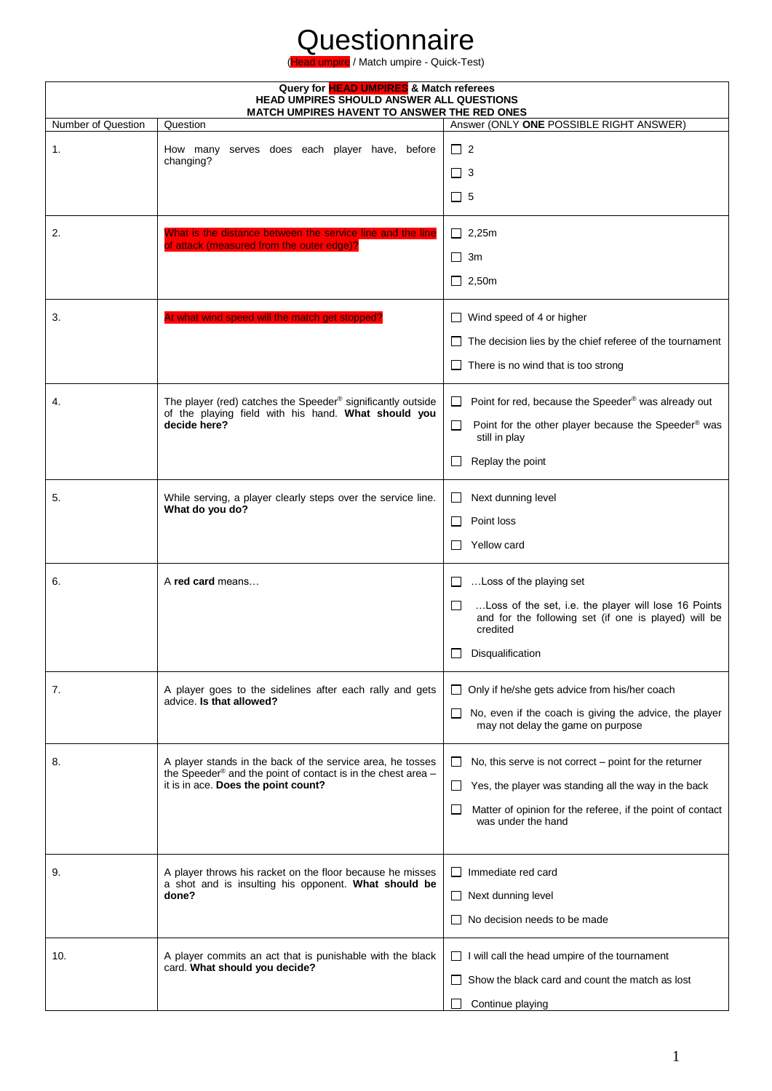| Query for <b>HEAD UMPIRES</b> & Match referees<br>HEAD UMPIRES SHOULD ANSWER ALL QUESTIONS<br><b>MATCH UMPIRES HAVENT TO ANSWER THE RED ONES</b> |                                                                                                                                                                   |                                                                                                                                                                                                                          |
|--------------------------------------------------------------------------------------------------------------------------------------------------|-------------------------------------------------------------------------------------------------------------------------------------------------------------------|--------------------------------------------------------------------------------------------------------------------------------------------------------------------------------------------------------------------------|
| Number of Question                                                                                                                               | Question                                                                                                                                                          | Answer (ONLY ONE POSSIBLE RIGHT ANSWER)                                                                                                                                                                                  |
| 1.                                                                                                                                               | How many serves does each player have, before<br>changing?                                                                                                        | $\Box$ 2<br>$\Box$ 3<br>$\Box$ 5                                                                                                                                                                                         |
| 2.                                                                                                                                               | What is the distance between the service line and the line<br>of attack (measured from the outer edge)?                                                           | $\Box$ 2,25m<br>$\Box$ 3m<br>$\Box$ 2,50m                                                                                                                                                                                |
| 3.                                                                                                                                               | At what wind speed will the match get stopped?                                                                                                                    | $\Box$ Wind speed of 4 or higher<br>The decision lies by the chief referee of the tournament<br>There is no wind that is too strong                                                                                      |
| 4.                                                                                                                                               | The player (red) catches the Speeder® significantly outside<br>of the playing field with his hand. What should you<br>decide here?                                | Point for red, because the Speeder® was already out<br>$\Box$<br>Point for the other player because the Speeder® was<br>□<br>still in play<br>Replay the point<br>$\mathsf{L}$                                           |
| 5.                                                                                                                                               | While serving, a player clearly steps over the service line.<br>What do you do?                                                                                   | Next dunning level<br>$\Box$<br>Point loss<br>$\Box$<br>Yellow card                                                                                                                                                      |
| 6.                                                                                                                                               | A red card means                                                                                                                                                  | Loss of the playing set<br>$\Box$<br>□<br>Loss of the set, i.e. the player will lose 16 Points<br>and for the following set (if one is played) will be<br>credited<br>Disqualification                                   |
| 7.                                                                                                                                               | A player goes to the sidelines after each rally and gets<br>advice. Is that allowed?                                                                              | $\Box$ Only if he/she gets advice from his/her coach<br>No, even if the coach is giving the advice, the player<br>$\Box$<br>may not delay the game on purpose                                                            |
| 8.                                                                                                                                               | A player stands in the back of the service area, he tosses<br>the Speeder® and the point of contact is in the chest area -<br>it is in ace. Does the point count? | No, this serve is not correct $-$ point for the returner<br>⊔<br>Yes, the player was standing all the way in the back<br>⊔<br>Matter of opinion for the referee, if the point of contact<br>$\Box$<br>was under the hand |
| 9.                                                                                                                                               | A player throws his racket on the floor because he misses<br>a shot and is insulting his opponent. What should be<br>done?                                        | $\Box$ Immediate red card<br>$\Box$ Next dunning level<br>No decision needs to be made                                                                                                                                   |
| 10.                                                                                                                                              | A player commits an act that is punishable with the black<br>card. What should you decide?                                                                        | $\Box$ I will call the head umpire of the tournament<br>Show the black card and count the match as lost<br>Continue playing                                                                                              |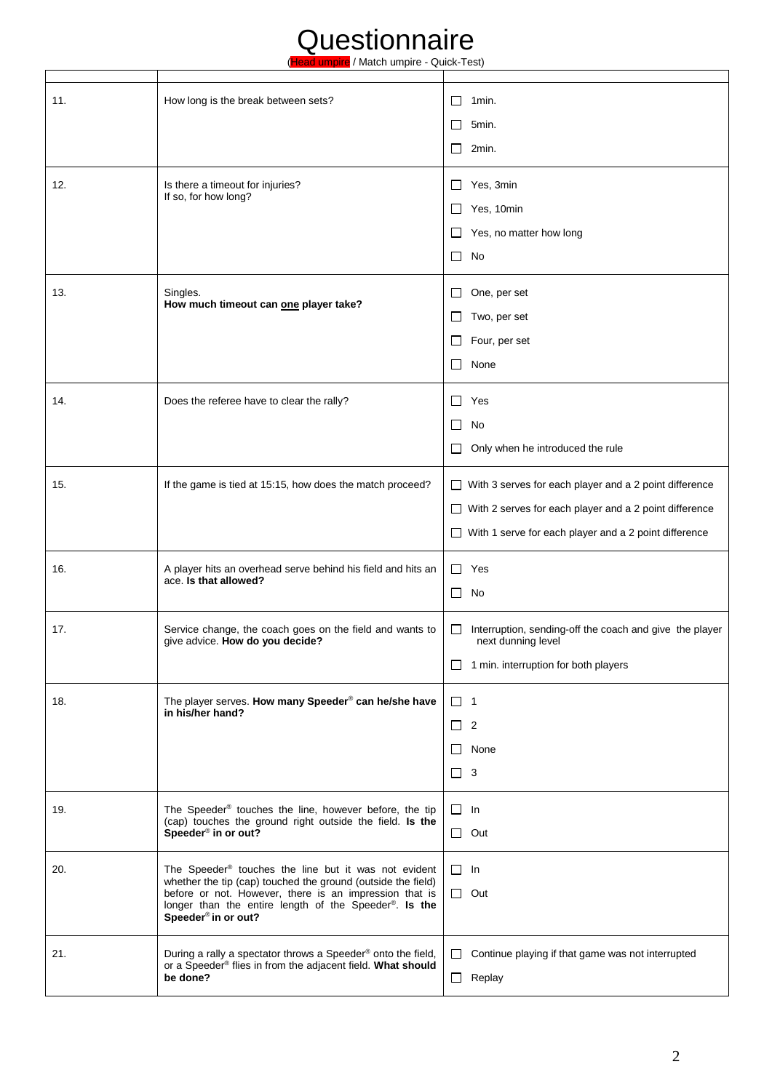| 11. | How long is the break between sets?                                                                                                                                                                                                                                        | 1 <sub>min</sub><br>$\Box$                                                         |
|-----|----------------------------------------------------------------------------------------------------------------------------------------------------------------------------------------------------------------------------------------------------------------------------|------------------------------------------------------------------------------------|
|     |                                                                                                                                                                                                                                                                            | 5min.<br>$\Box$                                                                    |
|     |                                                                                                                                                                                                                                                                            | 2min.<br>$\Box$                                                                    |
| 12. | Is there a timeout for injuries?                                                                                                                                                                                                                                           | Yes, 3min<br>$\sqcup$                                                              |
|     | If so, for how long?                                                                                                                                                                                                                                                       | Yes, 10min<br>$\Box$                                                               |
|     |                                                                                                                                                                                                                                                                            | Yes, no matter how long<br>$\Box$                                                  |
|     |                                                                                                                                                                                                                                                                            | No<br>ப                                                                            |
| 13. | Singles.                                                                                                                                                                                                                                                                   | One, per set<br>ப                                                                  |
|     | How much timeout can one player take?                                                                                                                                                                                                                                      | $\Box$<br>Two, per set                                                             |
|     |                                                                                                                                                                                                                                                                            | Four, per set<br>$\Box$                                                            |
|     |                                                                                                                                                                                                                                                                            | None<br>$\Box$                                                                     |
| 14. | Does the referee have to clear the rally?                                                                                                                                                                                                                                  | Yes<br>$\Box$                                                                      |
|     |                                                                                                                                                                                                                                                                            | $\sim$<br>No                                                                       |
|     |                                                                                                                                                                                                                                                                            | Only when he introduced the rule<br>$\sim$                                         |
| 15. | If the game is tied at 15:15, how does the match proceed?                                                                                                                                                                                                                  | $\Box$ With 3 serves for each player and a 2 point difference                      |
|     |                                                                                                                                                                                                                                                                            | $\Box$ With 2 serves for each player and a 2 point difference                      |
|     |                                                                                                                                                                                                                                                                            | $\Box$ With 1 serve for each player and a 2 point difference                       |
| 16. | A player hits an overhead serve behind his field and hits an                                                                                                                                                                                                               | □<br>Yes                                                                           |
|     | ace. Is that allowed?                                                                                                                                                                                                                                                      | $\Box$<br>No                                                                       |
| 17. | Service change, the coach goes on the field and wants to<br>give advice. How do you decide?                                                                                                                                                                                | Interruption, sending-off the coach and give the player<br>ப<br>next dunning level |
|     |                                                                                                                                                                                                                                                                            | 1 min. interruption for both players<br>□                                          |
| 18. | The player serves. How many Speeder® can he/she have<br>in his/her hand?                                                                                                                                                                                                   | $\Box$ 1                                                                           |
|     |                                                                                                                                                                                                                                                                            | $\Box$<br>$\overline{2}$                                                           |
|     |                                                                                                                                                                                                                                                                            | None<br>$\Box$                                                                     |
|     |                                                                                                                                                                                                                                                                            | 3<br>$\Box$                                                                        |
| 19. | The Speeder® touches the line, however before, the tip<br>(cap) touches the ground right outside the field. Is the<br>Speeder <sup>®</sup> in or out?                                                                                                                      | $\Box$ In                                                                          |
|     |                                                                                                                                                                                                                                                                            | $\Box$<br>Out                                                                      |
| 20. | The Speeder® touches the line but it was not evident<br>whether the tip (cap) touched the ground (outside the field)<br>before or not. However, there is an impression that is<br>longer than the entire length of the Speeder®. Is the<br>Speeder <sup>®</sup> in or out? | $\Box$ In                                                                          |
|     |                                                                                                                                                                                                                                                                            | $\Box$<br>Out                                                                      |
| 21. | During a rally a spectator throws a Speeder® onto the field,<br>or a Speeder® flies in from the adjacent field. What should<br>be done?                                                                                                                                    | Continue playing if that game was not interrupted<br>$\Box$                        |
|     |                                                                                                                                                                                                                                                                            | Replay<br>$\Box$                                                                   |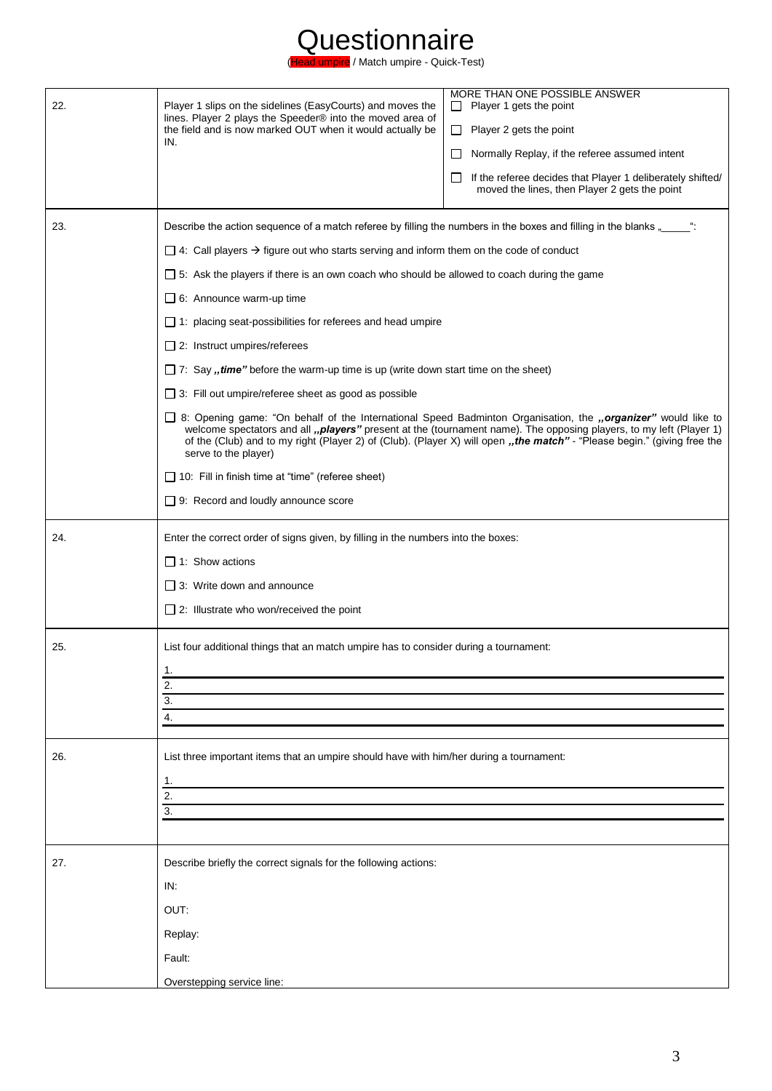

| 22. | Player 1 slips on the sidelines (EasyCourts) and moves the<br>lines. Player 2 plays the Speeder® into the moved area of<br>the field and is now marked OUT when it would actually be<br>IN.                                                                                                                                                                                                                                                                                                                                                         | MORE THAN ONE POSSIBLE ANSWER<br>Player 1 gets the point<br>Player 2 gets the point<br>$\Box$<br>Normally Replay, if the referee assumed intent<br>$\Box$<br>If the referee decides that Player 1 deliberately shifted/<br>$\Box$<br>moved the lines, then Player 2 gets the point |  |
|-----|-----------------------------------------------------------------------------------------------------------------------------------------------------------------------------------------------------------------------------------------------------------------------------------------------------------------------------------------------------------------------------------------------------------------------------------------------------------------------------------------------------------------------------------------------------|------------------------------------------------------------------------------------------------------------------------------------------------------------------------------------------------------------------------------------------------------------------------------------|--|
| 23. | Describe the action sequence of a match referee by filling the numbers in the boxes and filling in the blanks "____":                                                                                                                                                                                                                                                                                                                                                                                                                               |                                                                                                                                                                                                                                                                                    |  |
|     | $\Box$ 4: Call players $\rightarrow$ figure out who starts serving and inform them on the code of conduct                                                                                                                                                                                                                                                                                                                                                                                                                                           |                                                                                                                                                                                                                                                                                    |  |
|     | $\Box$ 5: Ask the players if there is an own coach who should be allowed to coach during the game<br>$\Box$ 6: Announce warm-up time                                                                                                                                                                                                                                                                                                                                                                                                                |                                                                                                                                                                                                                                                                                    |  |
|     | $\Box$ 1: placing seat-possibilities for referees and head umpire                                                                                                                                                                                                                                                                                                                                                                                                                                                                                   |                                                                                                                                                                                                                                                                                    |  |
|     | $\Box$ 2: Instruct umpires/referees                                                                                                                                                                                                                                                                                                                                                                                                                                                                                                                 |                                                                                                                                                                                                                                                                                    |  |
|     | $\Box$ 7: Say ,, time" before the warm-up time is up (write down start time on the sheet)<br>$\Box$ 3: Fill out umpire/referee sheet as good as possible<br>□ 8: Opening game: "On behalf of the International Speed Badminton Organisation, the "organizer" would like to<br>welcome spectators and all "players" present at the (tournament name). The opposing players, to my left (Player 1)<br>of the (Club) and to my right (Player 2) of (Club). (Player X) will open "the match" - "Please begin." (giving free the<br>serve to the player) |                                                                                                                                                                                                                                                                                    |  |
|     |                                                                                                                                                                                                                                                                                                                                                                                                                                                                                                                                                     |                                                                                                                                                                                                                                                                                    |  |
|     |                                                                                                                                                                                                                                                                                                                                                                                                                                                                                                                                                     |                                                                                                                                                                                                                                                                                    |  |
|     | $\Box$ 10: Fill in finish time at "time" (referee sheet)                                                                                                                                                                                                                                                                                                                                                                                                                                                                                            |                                                                                                                                                                                                                                                                                    |  |
|     | $\Box$ 9: Record and loudly announce score                                                                                                                                                                                                                                                                                                                                                                                                                                                                                                          |                                                                                                                                                                                                                                                                                    |  |
| 24. | Enter the correct order of signs given, by filling in the numbers into the boxes:<br>$\Box$ 1: Show actions<br>$\Box$ 3: Write down and announce<br>$\Box$ 2: Illustrate who won/received the point                                                                                                                                                                                                                                                                                                                                                 |                                                                                                                                                                                                                                                                                    |  |
| 25. | List four additional things that an match umpire has to consider during a tournament:                                                                                                                                                                                                                                                                                                                                                                                                                                                               |                                                                                                                                                                                                                                                                                    |  |
|     | 1.                                                                                                                                                                                                                                                                                                                                                                                                                                                                                                                                                  |                                                                                                                                                                                                                                                                                    |  |
|     | 2.<br>$\overline{3}$ .                                                                                                                                                                                                                                                                                                                                                                                                                                                                                                                              |                                                                                                                                                                                                                                                                                    |  |
|     | 4.                                                                                                                                                                                                                                                                                                                                                                                                                                                                                                                                                  |                                                                                                                                                                                                                                                                                    |  |
| 26. | List three important items that an umpire should have with him/her during a tournament:                                                                                                                                                                                                                                                                                                                                                                                                                                                             |                                                                                                                                                                                                                                                                                    |  |
|     | 1.<br>2.                                                                                                                                                                                                                                                                                                                                                                                                                                                                                                                                            |                                                                                                                                                                                                                                                                                    |  |
|     | 3.                                                                                                                                                                                                                                                                                                                                                                                                                                                                                                                                                  |                                                                                                                                                                                                                                                                                    |  |
|     |                                                                                                                                                                                                                                                                                                                                                                                                                                                                                                                                                     |                                                                                                                                                                                                                                                                                    |  |
| 27. | Describe briefly the correct signals for the following actions:                                                                                                                                                                                                                                                                                                                                                                                                                                                                                     |                                                                                                                                                                                                                                                                                    |  |
|     | IN:                                                                                                                                                                                                                                                                                                                                                                                                                                                                                                                                                 |                                                                                                                                                                                                                                                                                    |  |
|     | OUT:                                                                                                                                                                                                                                                                                                                                                                                                                                                                                                                                                |                                                                                                                                                                                                                                                                                    |  |
|     | Replay:                                                                                                                                                                                                                                                                                                                                                                                                                                                                                                                                             |                                                                                                                                                                                                                                                                                    |  |
|     | Fault:                                                                                                                                                                                                                                                                                                                                                                                                                                                                                                                                              |                                                                                                                                                                                                                                                                                    |  |
|     | Overstepping service line:                                                                                                                                                                                                                                                                                                                                                                                                                                                                                                                          |                                                                                                                                                                                                                                                                                    |  |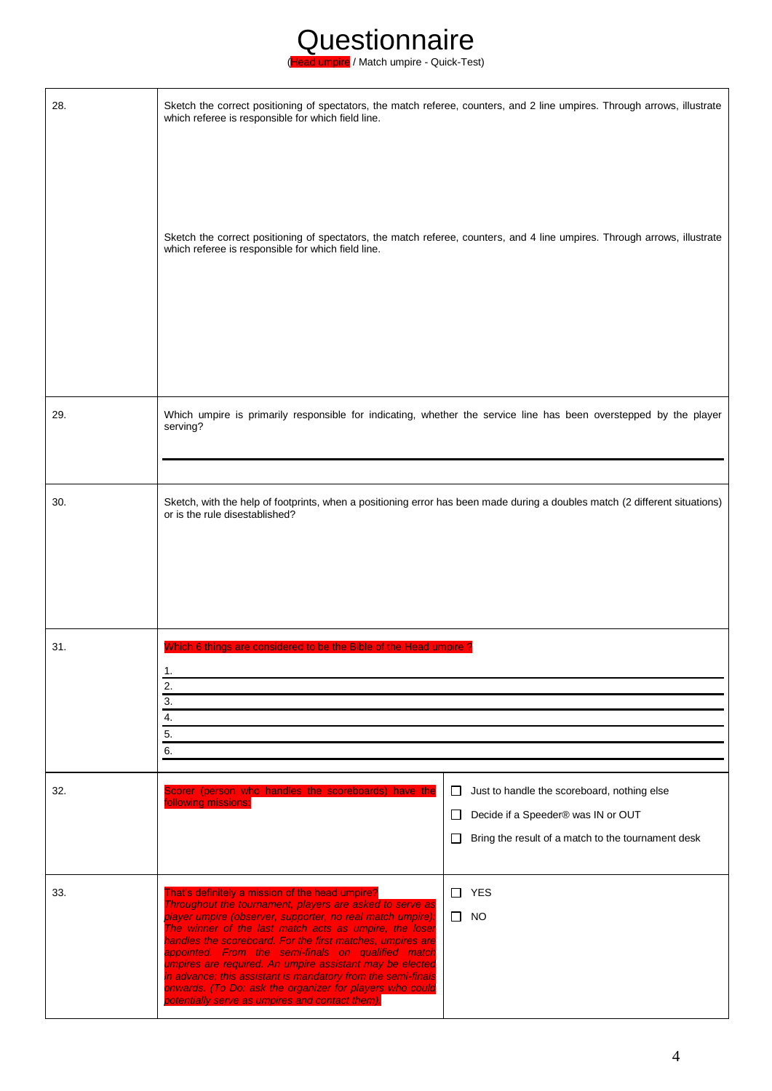(Head umpire / Match umpire - Quick-Test)

| 28. | Sketch the correct positioning of spectators, the match referee, counters, and 2 line umpires. Through arrows, illustrate<br>which referee is responsible for which field line.                                                                                                                                                                                                                                                                                                                                                                                                                    |                                                                                                                                                             |
|-----|----------------------------------------------------------------------------------------------------------------------------------------------------------------------------------------------------------------------------------------------------------------------------------------------------------------------------------------------------------------------------------------------------------------------------------------------------------------------------------------------------------------------------------------------------------------------------------------------------|-------------------------------------------------------------------------------------------------------------------------------------------------------------|
|     | Sketch the correct positioning of spectators, the match referee, counters, and 4 line umpires. Through arrows, illustrate<br>which referee is responsible for which field line.                                                                                                                                                                                                                                                                                                                                                                                                                    |                                                                                                                                                             |
|     |                                                                                                                                                                                                                                                                                                                                                                                                                                                                                                                                                                                                    |                                                                                                                                                             |
| 29. | Which umpire is primarily responsible for indicating, whether the service line has been overstepped by the player<br>serving?                                                                                                                                                                                                                                                                                                                                                                                                                                                                      |                                                                                                                                                             |
| 30. | Sketch, with the help of footprints, when a positioning error has been made during a doubles match (2 different situations)<br>or is the rule disestablished?                                                                                                                                                                                                                                                                                                                                                                                                                                      |                                                                                                                                                             |
| 31. | Which 6 things are considered to be the Bible of the Head umpire?<br>1.<br>2.<br>3.<br>4.<br>5.<br>6.                                                                                                                                                                                                                                                                                                                                                                                                                                                                                              |                                                                                                                                                             |
| 32. | Scorer (person who handles the scoreboards) have the<br>following missions:                                                                                                                                                                                                                                                                                                                                                                                                                                                                                                                        | Just to handle the scoreboard, nothing else<br>$\Box$<br>□<br>Decide if a Speeder® was IN or OUT<br>Bring the result of a match to the tournament desk<br>⊔ |
| 33. | That's definitely a mission of the head umpire?<br>Throughout the tournament, players are asked to serve as<br>player umpire (observer, supporter, no real match umpire):<br>The winner of the last match acts as umpire, the loser<br>handles the scoreboard. For the first matches, umpires are<br>appointed. From the semi-finals on qualified match<br>umpires are required. An umpire assistant may be elected<br>in advance; this assistant is mandatory from the semi-finals<br>onwards. (To Do: ask the organizer for players who could<br>potentially serve as umpires and contact them). | <b>YES</b><br>$\Box$<br>$\Box$ NO                                                                                                                           |

ı